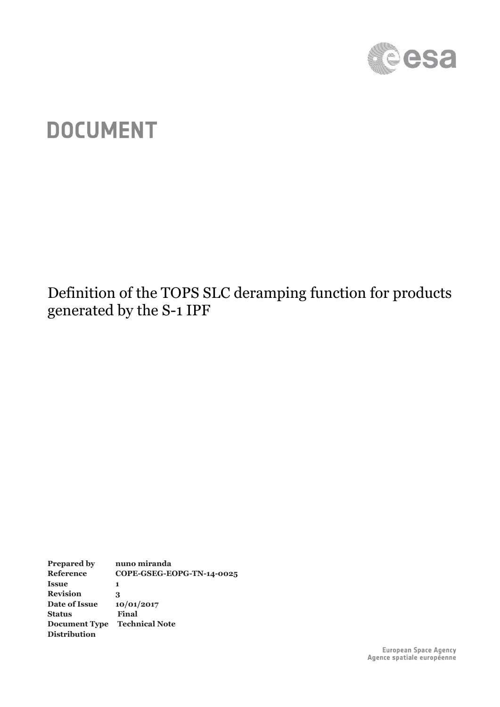

# **DOCUMENT**

Definition of the TOPS SLC deramping function for products generated by the S-1 IPF

**Prepared by nuno miranda Reference COPE-GSEG-EOPG-TN-14-0025 Issue 1 Revision 3 Date of Issue 10/01/2017 Status Final Document Type Technical Note Distribution**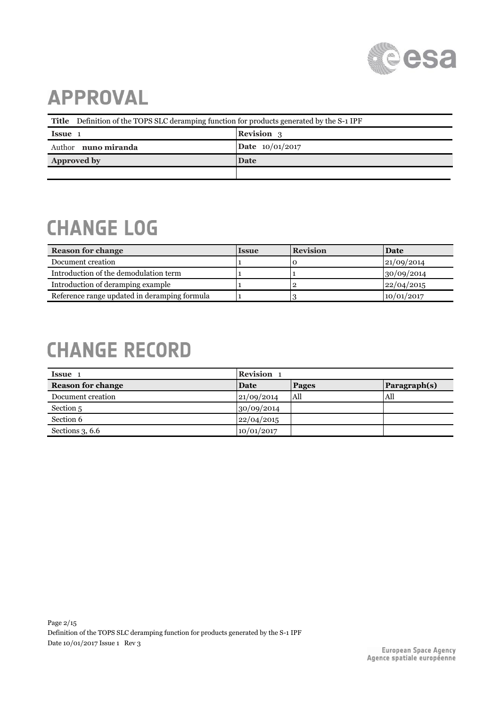

# **APPROVAL**

| Title Definition of the TOPS SLC deramping function for products generated by the S-1 IPF |                   |  |
|-------------------------------------------------------------------------------------------|-------------------|--|
| Issue 1                                                                                   | <b>Revision</b> 3 |  |
| Author <b>nuno miranda</b>                                                                | Date 10/01/2017   |  |
| <b>Approved by</b>                                                                        | Date              |  |
|                                                                                           |                   |  |

# **CHANGE LOG**

| <b>Reason for change</b>                     | <b>Issue</b> | <b>Revision</b> | Date       |
|----------------------------------------------|--------------|-----------------|------------|
| Document creation                            |              |                 | 21/09/2014 |
| Introduction of the demodulation term        |              |                 | 30/09/2014 |
| Introduction of deramping example            |              |                 | 22/04/2015 |
| Reference range updated in deramping formula |              |                 | 10/01/2017 |

# **CHANGE RECORD**

| <b>Issue</b>             | Revision 1 |              |              |
|--------------------------|------------|--------------|--------------|
| <b>Reason for change</b> | Date       | <b>Pages</b> | Paragraph(s) |
| Document creation        | 21/09/2014 | All          | All          |
| Section 5                | 30/09/2014 |              |              |
| Section 6                | 22/04/2015 |              |              |
| Sections 3, 6.6          | 10/01/2017 |              |              |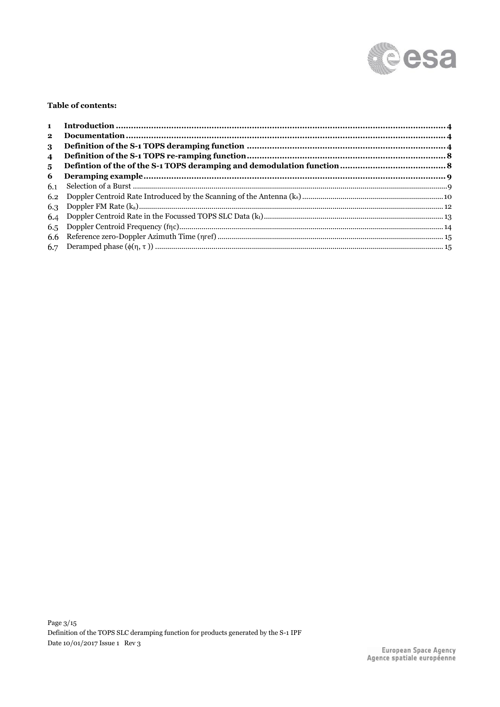

#### Table of contents:

| $\mathbf{2}$   |  |
|----------------|--|
| 3              |  |
| $\overline{4}$ |  |
| 5              |  |
| 6              |  |
| 6.1            |  |
|                |  |
|                |  |
|                |  |
|                |  |
|                |  |
|                |  |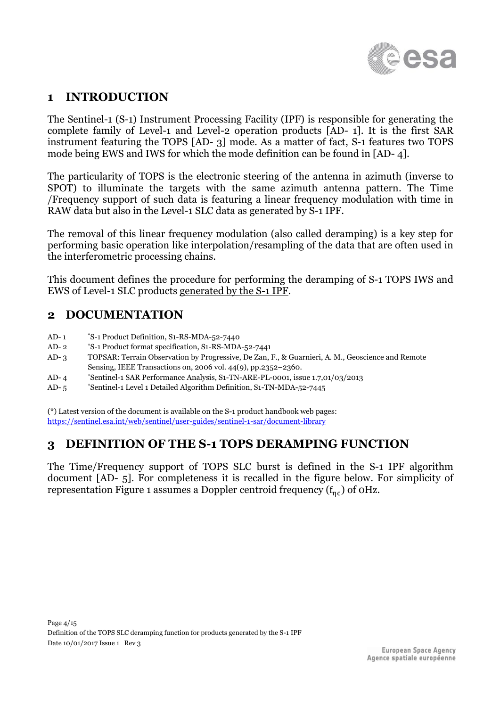

## **1 INTRODUCTION**

The Sentinel-1 (S-1) Instrument Processing Facility (IPF) is responsible for generating the complete family of Level-1 and Level-2 operation products [\[AD-](#page-3-0) 1]. It is the first SAR instrument featuring the TOPS [\[AD-](#page-3-1) 3] mode. As a matter of fact, S-1 features two TOPS mode being EWS and IWS for which the mode definition can be found in [\[AD-](#page-3-2) 4].

The particularity of TOPS is the electronic steering of the antenna in azimuth (inverse to SPOT) to illuminate the targets with the same azimuth antenna pattern. The Time /Frequency support of such data is featuring a linear frequency modulation with time in RAW data but also in the Level-1 SLC data as generated by S-1 IPF.

The removal of this linear frequency modulation (also called deramping) is a key step for performing basic operation like interpolation/resampling of the data that are often used in the interferometric processing chains.

This document defines the procedure for performing the deramping of S-1 TOPS IWS and EWS of Level-1 SLC products generated by the S-1 IPF.

### **2 DOCUMENTATION**

- <span id="page-3-0"></span> $AD-1$ \*S-1 Product Definition, S1-RS-MDA-52-7440
- <span id="page-3-4"></span>AD- 2 \*S-1 Product format specification, S1-RS-MDA-52-7441
- <span id="page-3-1"></span>AD- 3 TOPSAR: Terrain Observation by Progressive, De Zan, F., & Guarnieri, A. M., Geoscience and Remote Sensing, IEEE Transactions on, 2006 vol. 44(9), pp.2352–2360.
- <span id="page-3-2"></span>AD- 4 \*Sentinel-1 SAR Performance Analysis, S1-TN-ARE-PL-0001, issue 1.7,01/03/2013
- <span id="page-3-3"></span> $AD-5$ \*Sentinel-1 Level 1 Detailed Algorithm Definition, S1-TN-MDA-52-7445

(\*) Latest version of the document is available on the S-1 product handbook web pages: <https://sentinel.esa.int/web/sentinel/user-guides/sentinel-1-sar/document-library>

#### <span id="page-3-5"></span>**3 DEFINITION OF THE S-1 TOPS DERAMPING FUNCTION**

The Time/Frequency support of TOPS SLC burst is defined in the S-1 IPF algorithm document [\[AD-](#page-3-3) 5]. For completeness it is recalled in the figure below. For simplicity of representation [Figure 1](#page-4-0) assumes a Doppler centroid frequency ( $\rm{f}_{\eta c}$ ) of 0Hz.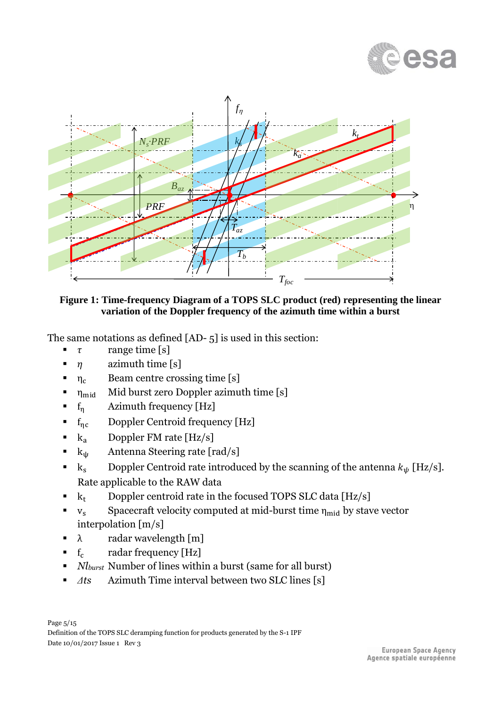



<span id="page-4-0"></span>**Figure 1: Time-frequency Diagram of a TOPS SLC product (red) representing the linear variation of the Doppler frequency of the azimuth time within a burst**

The same notations as defined [\[AD-](#page-3-3) 5] is used in this section:

- $\tau$  range time [s]
- $\blacksquare$   $\eta$  azimuth time [s]
- $\blacksquare$   $\eta_c$  Beam centre crossing time [s]
- $\blacksquare$   $\eta_{\text{mid}}$  Mid burst zero Doppler azimuth time [s]
- **•**  $f_n$  Azimuth frequency [Hz]
- $f_{\eta c}$  Doppler Centroid frequency [Hz]
- $\bullet$  k<sub>a</sub> Doppler FM rate [Hz/s]
- $k_{\psi}$  Antenna Steering rate [rad/s]
- $k_s$  Doppler Centroid rate introduced by the scanning of the antenna  $k_{\psi}$  [Hz/s]. Rate applicable to the RAW data
- $\bullet$  k<sub>t</sub> Doppler centroid rate in the focused TOPS SLC data [Hz/s]
- $v_s$  Spacecraft velocity computed at mid-burst time  $\eta_{mid}$  by stave vector interpolation [m/s]
- $\lambda$  radar wavelength [m]
- $\bullet$   $f_c$  radar frequency [Hz]
- *Nlburst* Number of lines within a burst (same for all burst)
- *Δts* Azimuth Time interval between two SLC lines [s]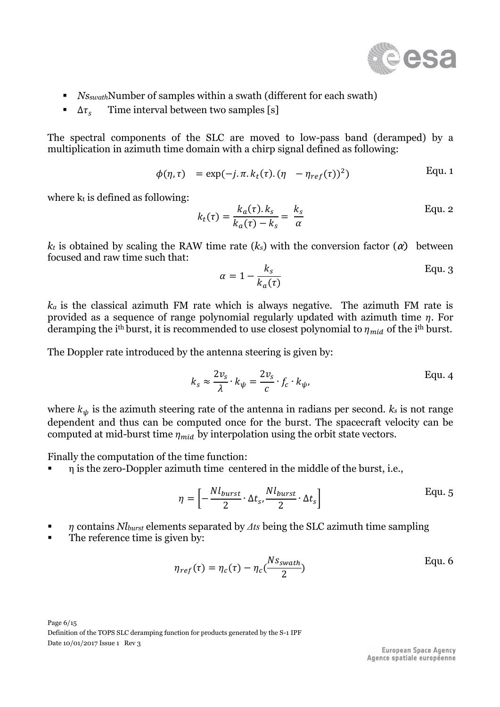

- *Ns<sub>swath</sub>Number of samples within a swath (different for each swath)*
- $Δτ<sub>s</sub>$  Time interval between two samples [s]

The spectral components of the SLC are moved to low-pass band (deramped) by a multiplication in azimuth time domain with a chirp signal defined as following:

$$
\phi(\eta,\tau) = \exp(-j.\pi.k_t(\tau).(\eta - \eta_{ref}(\tau))^2)
$$
 Equ. 1

where  $k_t$  is defined as following:

$$
k_t(\tau) = \frac{k_a(\tau).k_s}{k_a(\tau) - k_s} = \frac{k_s}{\alpha}
$$
 Equ. 2

 $k_t$  is obtained by scaling the RAW time rate  $(k_s)$  with the conversion factor  $(\alpha)$  between focused and raw time such that:

<span id="page-5-1"></span>
$$
\alpha = 1 - \frac{k_s}{k_a(\tau)}
$$
 Equ. 3

*k<sup>a</sup>* is the classical azimuth FM rate which is always negative. The azimuth FM rate is provided as a sequence of range polynomial regularly updated with azimuth time  $\eta$ . For deramping the i<sup>th</sup> burst, it is recommended to use closest polynomial to  $\eta_{mid}$  of the i<sup>th</sup> burst.

The Doppler rate introduced by the antenna steering is given by:

<span id="page-5-0"></span>
$$
k_{s} \approx \frac{2v_{s}}{\lambda} \cdot k_{\psi} = \frac{2v_{s}}{c} \cdot f_{c} \cdot k_{\psi},
$$
 Equ. 4

where  $k_{\psi}$  is the azimuth steering rate of the antenna in radians per second.  $k_s$  is not range dependent and thus can be computed once for the burst. The spacecraft velocity can be computed at mid-burst time  $\eta_{mid}$  by interpolation using the orbit state vectors.

Finally the computation of the time function:

 $η$  is the zero-Doppler azimuth time centered in the middle of the burst, i.e.,

<span id="page-5-3"></span>
$$
\eta = \left[ -\frac{Nl_{burst}}{2} \cdot \Delta t_s, \frac{Nl_{burst}}{2} \cdot \Delta t_s \right]
$$
 Equ. 5

- contains *Nlburst* elements separated by *Δts* being the SLC azimuth time sampling
- The reference time is given by:

<span id="page-5-2"></span>
$$
\eta_{ref}(\tau) = \eta_c(\tau) - \eta_c(\frac{Ns_{swath}}{2})
$$
 Equ. 6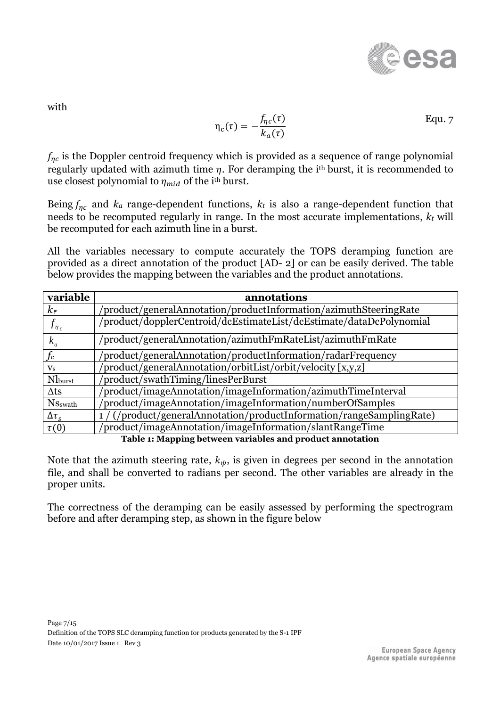<span id="page-6-1"></span>

with

$$
\eta_c(\tau) = -\frac{f_{\eta c}(\tau)}{k_a(\tau)}
$$
 Equ. 7

 $f_{\eta c}$  is the Doppler centroid frequency which is provided as a sequence of range polynomial regularly updated with azimuth time  $\eta$ . For deramping the i<sup>th</sup> burst, it is recommended to use closest polynomial to  $\eta_{mid}$  of the i<sup>th</sup> burst.

Being  $f_{nc}$  and  $k_a$  range-dependent functions,  $k_t$  is also a range-dependent function that needs to be recomputed regularly in range. In the most accurate implementations, *k<sup>t</sup>* will be recomputed for each azimuth line in a burst.

All the variables necessary to compute accurately the TOPS deramping function are provided as a direct annotation of the product [\[AD-](#page-3-4) 2] or can be easily derived. The table below provides the mapping between the variables and the product annotations.

| variable                                                  | annotations                                                           |
|-----------------------------------------------------------|-----------------------------------------------------------------------|
| $k_{\nu}$                                                 | 'product/generalAnnotation/productInformation/azimuthSteeringRate     |
| $f_{\eta_c}$                                              | /product/dopplerCentroid/dcEstimateList/dcEstimate/dataDcPolynomial   |
| $k_a$                                                     | /product/generalAnnotation/azimuthFmRateList/azimuthFmRate            |
| $f_c$                                                     | product/generalAnnotation/productInformation/radarFrequency           |
| $\mathbf{V}_\mathbf{S}$                                   | product/generalAnnotation/orbitList/orbit/velocity [x,y,z]            |
| Nlburst                                                   | 'product/swathTiming/linesPerBurst                                    |
| $\Delta$ ts                                               | product/imageAnnotation/imageInformation/azimuthTimeInterval          |
| <b>N</b> Sswath                                           | 'product/imageAnnotation/imageInformation/numberOfSamples             |
| $\Delta\tau_{S}$                                          | 1 / (/product/generalAnnotation/productInformation/rangeSamplingRate) |
| $\tau(0)$                                                 | product/imageAnnotation/imageInformation/slantRangeTime               |
| Table 1: Mapping between variables and product annotation |                                                                       |

<span id="page-6-0"></span>Note that the azimuth steering rate,  $k_{\psi}$ , is given in degrees per second in the annotation file, and shall be converted to radians per second. The other variables are already in the proper units.

The correctness of the deramping can be easily assessed by performing the spectrogram before and after deramping step, as shown in the figure below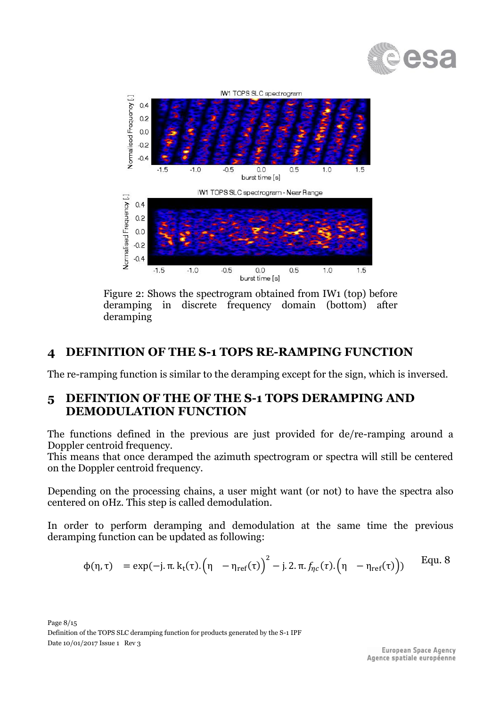



Figure 2: Shows the spectrogram obtained from IW1 (top) before deramping in discrete frequency domain (bottom) after deramping

#### **4 DEFINITION OF THE S-1 TOPS RE-RAMPING FUNCTION**

The re-ramping function is similar to the deramping except for the sign, which is inversed.

#### **5 DEFINTION OF THE OF THE S-1 TOPS DERAMPING AND DEMODULATION FUNCTION**

The functions defined in the previous are just provided for de/re-ramping around a Doppler centroid frequency.

This means that once deramped the azimuth spectrogram or spectra will still be centered on the Doppler centroid frequency.

Depending on the processing chains, a user might want (or not) to have the spectra also centered on 0Hz. This step is called demodulation.

In order to perform deramping and demodulation at the same time the previous deramping function can be updated as following:

$$
\varphi(\eta,\tau) \quad = \exp(-j.\,\pi.\,k_t(\tau).\Big(\eta\ -\eta_{ref}(\tau)\Big)^2 - j.\,2.\,\pi.\,f_{\eta_{\mathcal{C}}}(\tau).\Big(\eta\ -\eta_{ref}(\tau)\Big)) \qquad \text{Equ. 8}
$$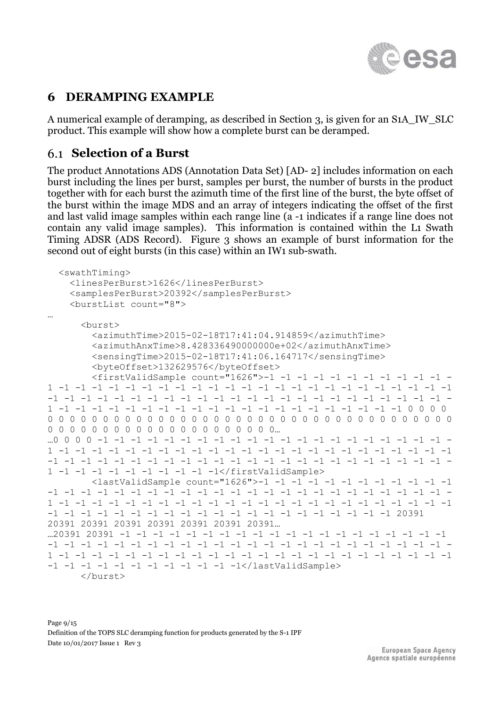

### **6 DERAMPING EXAMPLE**

A numerical example of deramping, as described in Section [3,](#page-3-5) is given for an S1A\_IW\_SLC product. This example will show how a complete burst can be deramped.

### **Selection of a Burst**

The product Annotations ADS (Annotation Data Set) [\[AD-](#page-3-4) 2] includes information on each burst including the lines per burst, samples per burst, the number of bursts in the product together with for each burst the azimuth time of the first line of the burst, the byte offset of the burst within the image MDS and an array of integers indicating the offset of the first and last valid image samples within each range line (a -1 indicates if a range line does not contain any valid image samples). This information is contained within the L1 Swath Timing ADSR (ADS Record). [Figure 3](#page-9-0) shows an example of burst information for the second out of eight bursts (in this case) within an IW1 sub-swath.

```
 <swathTiming>
     <linesPerBurst>1626</linesPerBurst>
     <samplesPerBurst>20392</samplesPerBurst>
     <burstList count="8">
…
       <burst>
         <azimuthTime>2015-02-18T17:41:04.914859</azimuthTime>
         <azimuthAnxTime>8.428336490000000e+02</azimuthAnxTime>
         <sensingTime>2015-02-18T17:41:06.164717</sensingTime>
         <byteOffset>132629576</byteOffset>
         <firstValidSample count="1626">-1 -1 -1 -1 -1 -1 -1 -1 -1 -1 -1 -
1 -1 -1 -1 -1 -1 -1 -1 -1 -1 -1 -1 -1 -1 -1 -1 -1 -1 -1 -1 -1 -1 -1 -1 -1 
-1 -1 -1 -1 -1 -1 -1 -1 -1 -1 -1 -1 -1 -1 -1 -1 -1 -1 -1 -1 -1 -1 -1 -1 -
1 -1 -1 -1 -1 -1 -1 -1 -1 -1 -1 -1 -1 -1 -1 -1 -1 -1 -1 -1 -1 -1 0 0 0 0 
0 0 0 0 0 0 0 0 0 0 0 0 0 0 0 0 0 0 0 0 0 0 0 0 0 0 0 0 0 0 0 0 0 0 0 0 0 
0 0 0 0 0 0 0 0 0 0 0 0 0 0 0 0 0 0 0 0 0…
…0 0 0 0 -1 -1 -1 -1 -1 -1 -1 -1 -1 -1 -1 -1 -1 -1 -1 -1 -1 -1 -1 -1 -1 -
1 -1 -1 -1 -1 -1 -1 -1 -1 -1 -1 -1 -1 -1 -1 -1 -1 -1 -1 -1 -1 -1 -1 -1 -1 
-1 -1 -1 -1 -1 -1 -1 -1 -1 -1 -1 -1 -1 -1 -1 -1 -1 -1 -1 -1 -1 -1 -1 -1 -
1 -1 -1 -1 -1 -1 -1 -1 -1 -1 -1</firstValidSample>
         <lastValidSample count="1626">-1 -1 -1 -1 -1 -1 -1 -1 -1 -1 -1 -1 
-1 -1 -1 -1 -1 -1 -1 -1 -1 -1 -1 -1 -1 -1 -1 -1 -1 -1 -1 -1 -1 -1 -1 -1 -
1 -1 -1 -1 -1 -1 -1 -1 -1 -1 -1 -1 -1 -1 -1 -1 -1 -1 -1 -1 -1 -1 -1 -1 -1 
-1 -1 -1 -1 -1 -1 -1 -1 -1 -1 -1 -1 -1 -1 -1 -1 -1 -1 -1 -1 -1 20391 
20391 20391 20391 20391 20391 20391 20391…
…20391 20391 -1 -1 -1 -1 -1 -1 -1 -1 -1 -1 -1 -1 -1 -1 -1 -1 -1 -1 -1 -1 
-1 -1 -1 -1 -1 -1 -1 -1 -1 -1 -1 -1 -1 -1 -1 -1 -1 -1 -1 -1 -1 -1 -1 -1 -
1 -1 -1 -1 -1 -1 -1 -1 -1 -1 -1 -1 -1 -1 -1 -1 -1 -1 -1 -1 -1 -1 -1 -1 -1 
-1 -1 -1 -1 -1 -1 -1 -1 -1 -1 -1 -1</lastValidSample>
       </burst>
```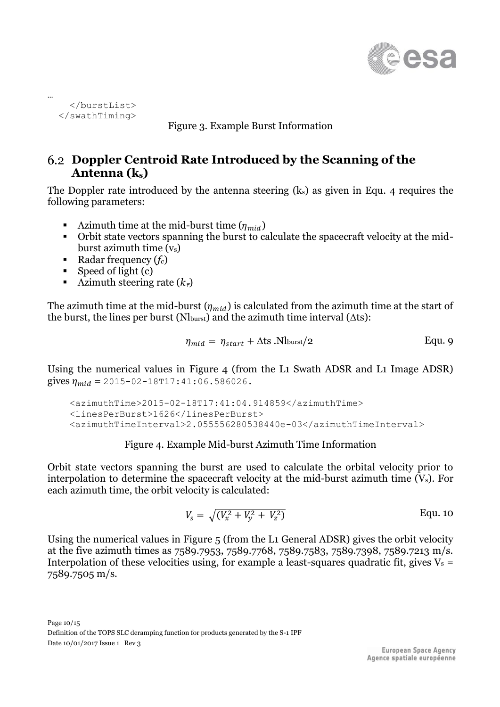

<span id="page-9-0"></span> </burstList> </swathTiming>

…

Figure 3. Example Burst Information

### <span id="page-9-2"></span>**Doppler Centroid Rate Introduced by the Scanning of the Antenna (ks)**

The Doppler rate introduced by the antenna steering (ks) as given in [Equ. 4](#page-5-0) requires the following parameters:

- Azimuth time at the mid-burst time  $(\eta_{mid})$
- Orbit state vectors spanning the burst to calculate the spacecraft velocity at the midburst azimuth time  $(v_s)$
- Radar frequency (*f<sub>c</sub>*)
- $\blacksquare$  Speed of light (c)
- **E** Azimuth steering rate  $(k_y)$

The azimuth time at the mid-burst  $(\eta_{mid})$  is calculated from the azimuth time at the start of the burst, the lines per burst ( $N_{\text{burst}}$ ) and the azimuth time interval ( $\Delta$ ts):

$$
\eta_{mid} = \eta_{start} + \Delta t \sin(N_{burst}/2) \tag{Equ. 9}
$$

Using the numerical values in [Figure 4](#page-9-1) (from the L1 Swath ADSR and L1 Image ADSR) gives  $\eta_{mid}$  = 2015-02-18T17:41:06.586026.

 <azimuthTime>2015-02-18T17:41:04.914859</azimuthTime> <linesPerBurst>1626</linesPerBurst> <azimuthTimeInterval>2.055556280538440e-03</azimuthTimeInterval>

#### Figure 4. Example Mid-burst Azimuth Time Information

<span id="page-9-1"></span>Orbit state vectors spanning the burst are used to calculate the orbital velocity prior to interpolation to determine the spacecraft velocity at the mid-burst azimuth time (Vs). For each azimuth time, the orbit velocity is calculated:

$$
V_s = \sqrt{(V_x^2 + V_y^2 + V_z^2)} \qquad \qquad \text{Equ. 10}
$$

Using the numerical values in [Figure 5](#page-10-0) (from the L1 General ADSR) gives the orbit velocity at the five azimuth times as 7589.7953, 7589.7768, 7589.7583, 7589.7398, 7589.7213 m/s. Interpolation of these velocities using, for example a least-squares quadratic fit, gives  $V_s$  = 7589.7505 m/s.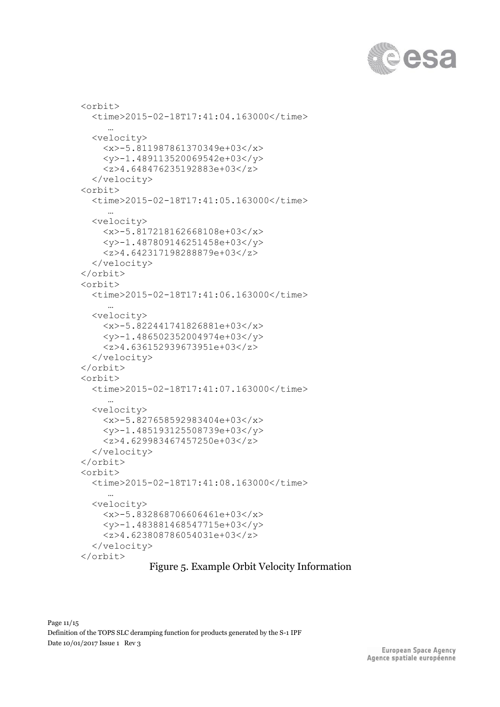

```
 <orbit>
   <time>2015-02-18T17:41:04.163000</time>
     …
   <velocity>
     <x>-5.811987861370349e+03</x>
     <y>-1.489113520069542e+03</y>
     <z>4.648476235192883e+03</z>
   </velocity>
 <orbit>
   <time>2015-02-18T17:41:05.163000</time>
     …
   <velocity>
     <x>-5.817218162668108e+03</x>
     <y>-1.487809146251458e+03</y>
     <z>4.642317198288879e+03</z>
   </velocity>
 </orbit>
 <orbit>
   <time>2015-02-18T17:41:06.163000</time>
     …
   <velocity>
     <x>-5.822441741826881e+03</x>
     <y>-1.486502352004974e+03</y>
     <z>4.636152939673951e+03</z>
   </velocity>
 </orbit>
 <orbit>
   <time>2015-02-18T17:41:07.163000</time>
     …
   <velocity>
     <x>-5.827658592983404e+03</x>
     <y>-1.485193125508739e+03</y>
     <z>4.629983467457250e+03</z>
   </velocity>
 </orbit>
 <orbit>
   <time>2015-02-18T17:41:08.163000</time>
     …
   <velocity>
     <x>-5.832868706606461e+03</x>
     <y>-1.483881468547715e+03</y>
     <z>4.623808786054031e+03</z>
   </velocity>
 </orbit>
```
#### <span id="page-10-0"></span>Figure 5. Example Orbit Velocity Information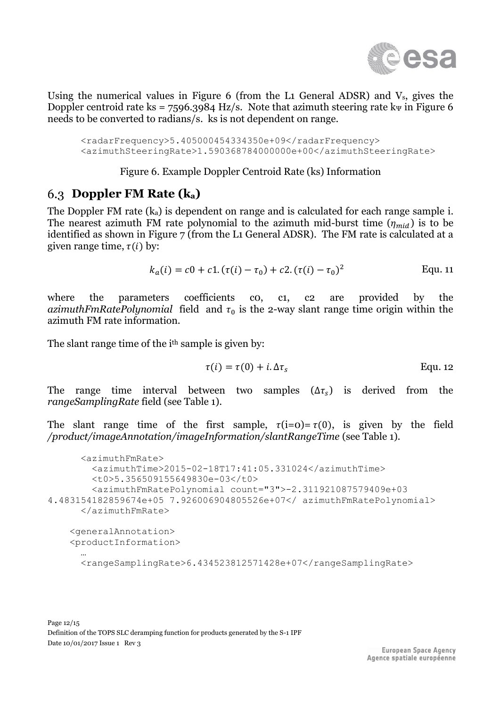

Using the numerical values in [Figure 6](#page-11-0) (from the L1 General ADSR) and  $V_s$ , gives the Doppler centroid rate ks =  $7596.3984$  Hz/s. Note that azimuth steering rate k $\psi$  in [Figure 6](#page-11-0) needs to be converted to radians/s. ks is not dependent on range.

 <radarFrequency>5.405000454334350e+09</radarFrequency> <azimuthSteeringRate>1.590368784000000e+00</azimuthSteeringRate>

#### Figure 6. Example Doppler Centroid Rate (ks) Information

### <span id="page-11-1"></span><span id="page-11-0"></span>**Doppler FM Rate (ka)**

The Doppler FM rate  $(k_a)$  is dependent on range and is calculated for each range sample i. The nearest azimuth FM rate polynomial to the azimuth mid-burst time  $(\eta_{mid})$  is to be identified as shown in [Figure 7](#page-12-0) (from the L1 General ADSR). The FM rate is calculated at a given range time,  $\tau(i)$  by:

$$
k_a(i) = c0 + c1.(\tau(i) - \tau_0) + c2.(\tau(i) - \tau_0)^2
$$
 Equ. 11

where the parameters coefficients co, c1, c2 are provided by the *azimuthFmRatePolynomial* field and  $\tau_0$  is the 2-way slant range time origin within the azimuth FM rate information.

The slant range time of the i<sup>th</sup> sample is given by:

$$
\tau(i) = \tau(0) + i \Delta \tau_s
$$
 Equ. 12

The range time interval between two samples  $(\Delta \tau_s)$  is derived from the *rangeSamplingRate* field (see [Table 1\)](#page-6-0).

The slant range time of the first sample,  $\tau(i=0)=\tau(0)$ , is given by the field */product/imageAnnotation/imageInformation/slantRangeTime* (see [Table 1\)](#page-6-0)*.*

```
 <azimuthFmRate>
         <azimuthTime>2015-02-18T17:41:05.331024</azimuthTime>
         <t0>5.356509155649830e-03</t0>
         <azimuthFmRatePolynomial count="3">-2.311921087579409e+03
4.483154182859674e+05 7.926006904805526e+07</ azimuthFmRatePolynomial>
       </azimuthFmRate>
     <generalAnnotation>
     <productInformation>
 …
       <rangeSamplingRate>6.434523812571428e+07</rangeSamplingRate>
```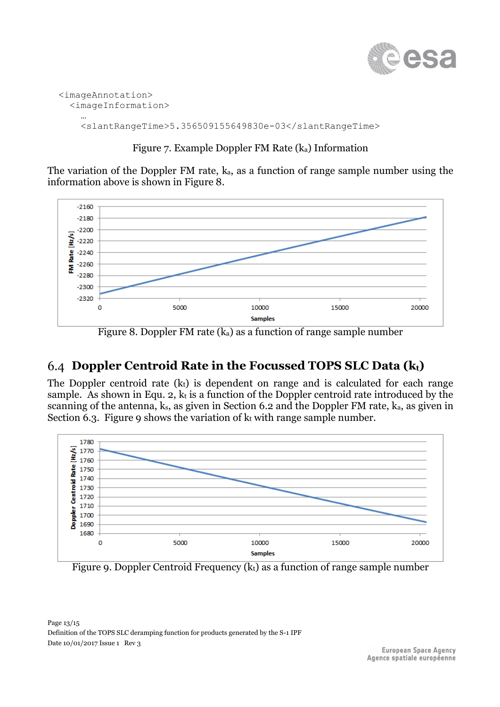

```
 <imageAnnotation>
    <imageInformation>
 …
      <slantRangeTime>5.356509155649830e-03</slantRangeTime>
```
#### Figure 7. Example Doppler FM Rate (ka) Information

<span id="page-12-0"></span>The variation of the Doppler FM rate, ka, as a function of range sample number using the information above is shown in [Figure 8.](#page-12-1)



Figure 8. Doppler FM rate  $(k_a)$  as a function of range sample number

## <span id="page-12-3"></span><span id="page-12-1"></span>**Doppler Centroid Rate in the Focussed TOPS SLC Data (kt)**

The Doppler centroid rate  $(k<sub>t</sub>)$  is dependent on range and is calculated for each range sample. As shown in [Equ. 2,](#page-5-1)  $k_t$  is a function of the Doppler centroid rate introduced by the scanning of the antenna, ks, as given in Section [6.2](#page-9-2) and the Doppler FM rate, ka, as given in Section [6.3.](#page-11-1) [Figure 9](#page-12-2) shows the variation of  $k_t$  with range sample number.



<span id="page-12-2"></span>Figure 9. Doppler Centroid Frequency (kt) as a function of range sample number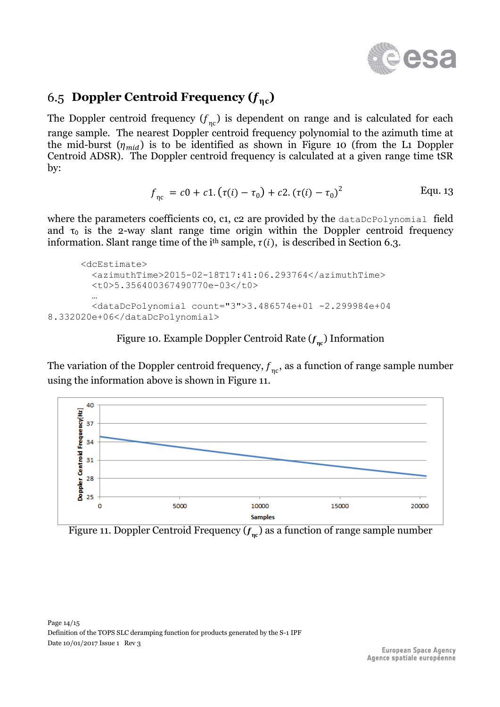

## <span id="page-13-2"></span>6.5 **Doppler Centroid Frequency**  $(f_{nc})$

The Doppler centroid frequency  $(f_{\eta c})$  is dependent on range and is calculated for each range sample. The nearest Doppler centroid frequency polynomial to the azimuth time at the mid-burst  $(\eta_{mid})$  is to be identified as shown in [Figure 10](#page-13-0) (from the L1 Doppler Centroid ADSR). The Doppler centroid frequency is calculated at a given range time tSR by:

$$
f_{\eta c} = c0 + c1.(\tau(i) - \tau_0) + c2.(\tau(i) - \tau_0)^2
$$
 Equ. 13

where the parameters coefficients co, c1, c2 are provided by the dataDcPolynomial field and  $\tau_0$  is the 2-way slant range time origin within the Doppler centroid frequency information. Slant range time of the i<sup>th</sup> sample,  $\tau(i)$ , is described in Section [6.3.](#page-11-1)

```
 <dcEstimate>
         <azimuthTime>2015-02-18T17:41:06.293764</azimuthTime>
         <t0>5.356400367490770e-03</t0>
 …
         <dataDcPolynomial count="3">3.486574e+01 -2.299984e+04 
8.332020e+06</dataDcPolynomial>
```
## Figure 10. Example Doppler Centroid Rate  $(f_{\eta c})$  Information

<span id="page-13-0"></span>The variation of the Doppler centroid frequency,  $\overline{f}_{\eta\text{c}},$  as a function of range sample number using the information above is shown in [Figure 11.](#page-13-1)



<span id="page-13-1"></span>Figure 11. Doppler Centroid Frequency  $(f_{\eta\mathfrak{c}})$  as a function of range sample number